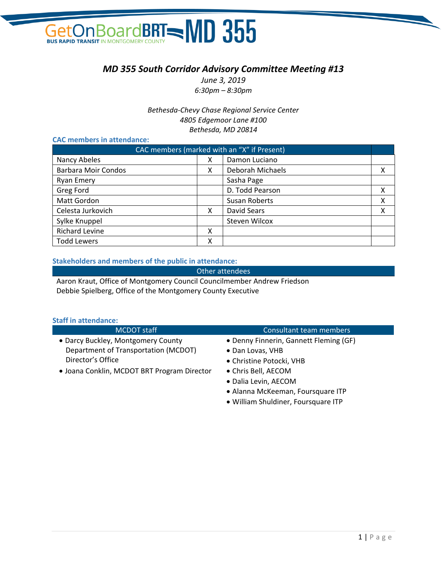# BOArdBRT=MD 355 Get **BUS RAPID TRANSIT**

# *MD 355 South Corridor Advisory Committee Meeting #13*

*June 3, 2019 6:30pm – 8:30pm*

*Bethesda-Chevy Chase Regional Service Center 4805 Edgemoor Lane #100 Bethesda, MD 20814*

#### **CAC members in attendance:**

| CAC members (marked with an "X" if Present) |   |                  |   |
|---------------------------------------------|---|------------------|---|
| Nancy Abeles                                | х | Damon Luciano    |   |
| <b>Barbara Moir Condos</b>                  | х | Deborah Michaels | х |
| <b>Ryan Emery</b>                           |   | Sasha Page       |   |
| Greg Ford                                   |   | D. Todd Pearson  | х |
| Matt Gordon                                 |   | Susan Roberts    | Χ |
| Celesta Jurkovich                           | х | David Sears      | χ |
| Sylke Knuppel                               |   | Steven Wilcox    |   |
| <b>Richard Levine</b>                       | х |                  |   |
| <b>Todd Lewers</b>                          | χ |                  |   |

#### **Stakeholders and members of the public in attendance:**

Other attendees

Aaron Kraut, Office of Montgomery Council Councilmember Andrew Friedson Debbie Spielberg, Office of the Montgomery County Executive

#### **Staff in attendance:**

| <b>MCDOT</b> staff                          | Consultant team members                |
|---------------------------------------------|----------------------------------------|
| • Darcy Buckley, Montgomery County          | • Denny Finnerin, Gannett Fleming (GF) |
| Department of Transportation (MCDOT)        | • Dan Lovas, VHB                       |
| Director's Office                           | • Christine Potocki, VHB               |
| • Joana Conklin, MCDOT BRT Program Director | • Chris Bell, AECOM                    |
|                                             | · Dalia Levin, AECOM                   |

- Alanna McKeeman, Foursquare ITP
- William Shuldiner, Foursquare ITP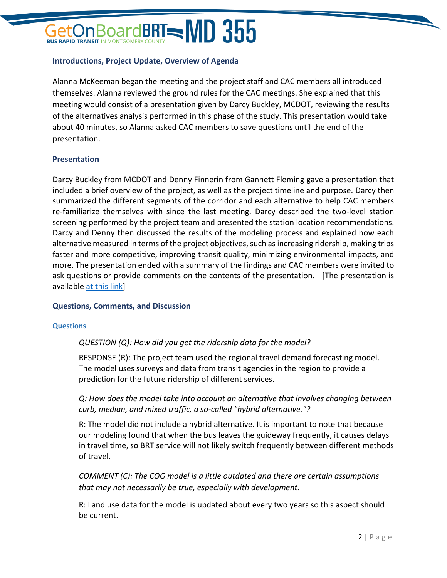# OardBRT=MD 355

#### **Introductions, Project Update, Overview of Agenda**

Alanna McKeeman began the meeting and the project staff and CAC members all introduced themselves. Alanna reviewed the ground rules for the CAC meetings. She explained that this meeting would consist of a presentation given by Darcy Buckley, MCDOT, reviewing the results of the alternatives analysis performed in this phase of the study. This presentation would take about 40 minutes, so Alanna asked CAC members to save questions until the end of the presentation.

#### **Presentation**

Darcy Buckley from MCDOT and Denny Finnerin from Gannett Fleming gave a presentation that included a brief overview of the project, as well as the project timeline and purpose. Darcy then summarized the different segments of the corridor and each alternative to help CAC members re-familiarize themselves with since the last meeting. Darcy described the two-level station screening performed by the project team and presented the station location recommendations. Darcy and Denny then discussed the results of the modeling process and explained how each alternative measured in terms of the project objectives, such as increasing ridership, making trips faster and more competitive, improving transit quality, minimizing environmental impacts, and more. The presentation ended with a summary of the findings and CAC members were invited to ask questions or provide comments on the contents of the presentation. [The presentation is available [at this link\]](https://www.ridetheflash.com/wp-content/uploads/2019/06/MD355_CAC13_Presentation-web.pdf)

#### **Questions, Comments, and Discussion**

#### **Questions**

#### *QUESTION (Q): How did you get the ridership data for the model?*

RESPONSE (R): The project team used the regional travel demand forecasting model. The model uses surveys and data from transit agencies in the region to provide a prediction for the future ridership of different services.

*Q: How does the model take into account an alternative that involves changing between curb, median, and mixed traffic, a so-called "hybrid alternative."?*

R: The model did not include a hybrid alternative. It is important to note that because our modeling found that when the bus leaves the guideway frequently, it causes delays in travel time, so BRT service will not likely switch frequently between different methods of travel.

*COMMENT (C): The COG model is a little outdated and there are certain assumptions that may not necessarily be true, especially with development.* 

R: Land use data for the model is updated about every two years so this aspect should be current.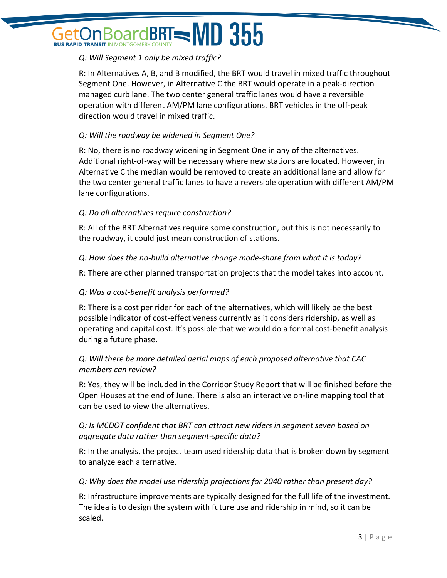# BoardBRT=MD 355 **BUS RAPID TRANSIT IN MONTGOMERY**

# *Q: Will Segment 1 only be mixed traffic?*

R: In Alternatives A, B, and B modified, the BRT would travel in mixed traffic throughout Segment One. However, in Alternative C the BRT would operate in a peak-direction managed curb lane. The two center general traffic lanes would have a reversible operation with different AM/PM lane configurations. BRT vehicles in the off-peak direction would travel in mixed traffic.

#### *Q: Will the roadway be widened in Segment One?*

R: No, there is no roadway widening in Segment One in any of the alternatives. Additional right-of-way will be necessary where new stations are located. However, in Alternative C the median would be removed to create an additional lane and allow for the two center general traffic lanes to have a reversible operation with different AM/PM lane configurations.

# *Q: Do all alternatives require construction?*

R: All of the BRT Alternatives require some construction, but this is not necessarily to the roadway, it could just mean construction of stations.

#### *Q: How does the no-build alternative change mode-share from what it is today?*

R: There are other planned transportation projects that the model takes into account.

#### *Q: Was a cost-benefit analysis performed?*

R: There is a cost per rider for each of the alternatives, which will likely be the best possible indicator of cost-effectiveness currently as it considers ridership, as well as operating and capital cost. It's possible that we would do a formal cost-benefit analysis during a future phase.

# *Q: Will there be more detailed aerial maps of each proposed alternative that CAC members can review?*

R: Yes, they will be included in the Corridor Study Report that will be finished before the Open Houses at the end of June. There is also an interactive on-line mapping tool that can be used to view the alternatives.

#### *Q: Is MCDOT confident that BRT can attract new riders in segment seven based on aggregate data rather than segment-specific data?*

R: In the analysis, the project team used ridership data that is broken down by segment to analyze each alternative.

#### *Q: Why does the model use ridership projections for 2040 rather than present day?*

R: Infrastructure improvements are typically designed for the full life of the investment. The idea is to design the system with future use and ridership in mind, so it can be scaled.